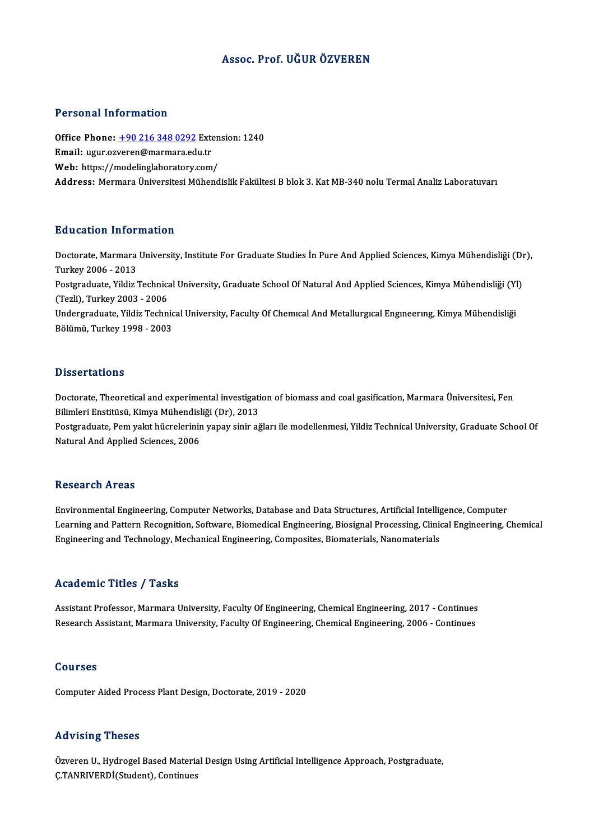#### Assoc. Prof. UĞUR ÖZVEREN

#### Personal Information

Office Phone: +90 216 348 0292Extension:1240 Email: ugur.oz[veren@marmara.ed](tel:+90 216 348 0292)u.tr Web: https://modelinglaboratory.com/ Address: Mermara Üniversitesi Mühendislik Fakültesi B blok 3. Kat MB-340 nolu Termal Analiz Laboratuvarı

#### Education Information

**Education Information**<br>Doctorate, Marmara University, Institute For Graduate Studies İn Pure And Applied Sciences, Kimya Mühendisliği (Dr),<br>Turkey 2006 - 2012 Eu acation 111101<br>Doctorate, Marmara<br>Turkey 2006 - 2013<br>Postavaduate, Vildiz Doctorate, Marmara University, Institute For Graduate Studies İn Pure And Applied Sciences, Kimya Mühendisliği (Di<br>Turkey 2006 - 2013<br>Postgraduate, Yildiz Technical University, Graduate School Of Natural And Applied Scienc Turkey 2006 - 2013<br>Postgraduate, Yildiz Technica<br>(Tezli), Turkey 2003 - 2006<br>Undergraduate, Yildiz Techn Postgraduate, Yildiz Technical University, Graduate School Of Natural And Applied Sciences, Kimya Mühendisliği (Yl<br>(Tezli), Turkey 2003 - 2006<br>Undergraduate, Yildiz Technical University, Faculty Of Chemıcal And Metallurgıc (Tezli), Turkey 2003 - 2006<br>Undergraduate, Yildiz Technical University, Faculty Of Chemıcal And Metallurgıcal Engıneerıng, Kimya Mühendisliği<br>Bölümü, Turkey 1998 - 2003

#### **Dissertations**

Doctorate, Theoretical and experimental investigation of biomass and coal gasification, Marmara Üniversitesi, Fen Bilimleri<br>Bilimleri Enstitüsü, Kimya Mühendisliği (Dr), 2013<br>Bestaraduata Bem vakıt bücrelerinin yanav sinir ağ

Postgraduate, Pem yakıt hücrelerinin yapay sinir ağları ile modellenmesi, Yildiz Technical University, Graduate School Of<br>Natural And Applied Sciences, 2006 Bilimleri Enstitüsü, Kimya Mühendisl<br>Postgraduate, Pem yakıt hücrelerinir<br>Natural And Applied Sciences, 2006

#### **Research Areas**

Environmental Engineering, Computer Networks, Database and Data Structures, Artificial Intelligence, Computer Learning and Pattern Recognition, Software, Biomedical Engineering, Biosignal Processing, Clinical Engineering, Chemical Engineering and Technology, Mechanical Engineering, Composites, Biomaterials, Nanomaterials

#### Academic Titles / Tasks

Academic Titles / Tasks<br>Assistant Professor, Marmara University, Faculty Of Engineering, Chemical Engineering, 2017 - Continues<br>Pesearch Assistant Marmara University, Faculty Of Engineering, Chemical Engineering, 2006 - Co rrouwennee 1720ery<br>Assistant Professor, Marmara University, Faculty Of Engineering, Chemical Engineering, 2017 - Continues<br>Research Assistant, Marmara University, Faculty Of Engineering, Chemical Engineering, 2006 - Contin Research Assistant, Marmara University, Faculty Of Engineering, Chemical Engineering, 2006 - Continues<br>Courses

Computer Aided Process Plant Design, Doctorate, 2019 - 2020

#### Advising Theses

Özveren U., Hydrogel Based Material Design Using Artificial Intelligence Approach, Postgraduate, Ç.TANRIVERDİ(Student), Continues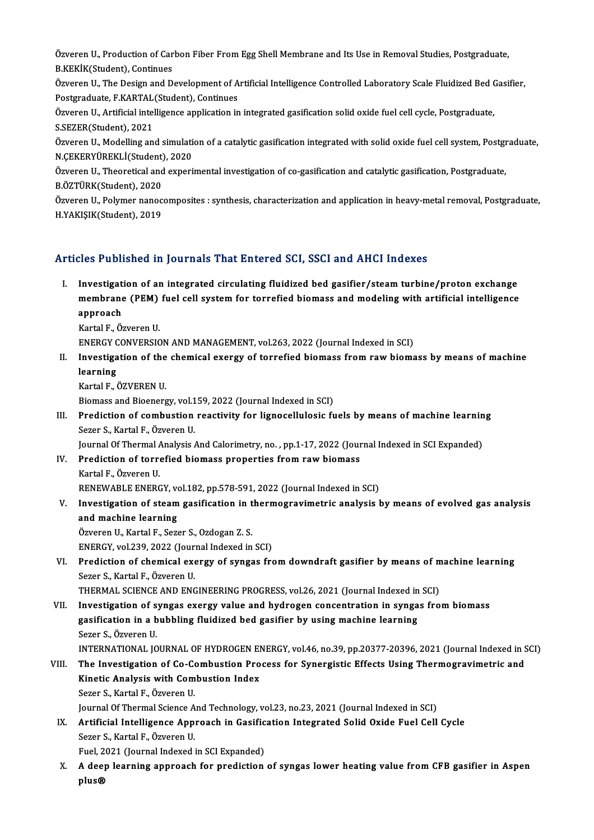Özveren U., Production of Carbon Fiber From Egg Shell Membrane and Its Use in Removal Studies, Postgraduate,<br>R.K.K.K.C.H.dont), Continues Özveren U., Production of Car<br>B.KEKİK(Student), Continues<br>Özveren H., The Design and D Özveren U., Production of Carbon Fiber From Egg Shell Membrane and Its Use in Removal Studies, Postgraduate,<br>B.KEKİK(Student), Continues<br>Özveren U., The Design and Development of Artificial Intelligence Controlled Laborato

B.KEKİK(Student), Continues<br>Özveren U., The Design and Development of A<br>Postgraduate, F.KARTAL(Student), Continues<br>Özveren U. Artificial intelligence annlication in Özveren U., The Design and Development of Artificial Intelligence Controlled Laboratory Scale Fluidized Bed Gasifier,<br>Postgraduate, F.KARTAL(Student), Continues<br>Özveren U., Artificial intelligence application in integrated

Postgraduate, F.KARTAL<br>Özveren U., Artificial intel<br>S.SEZER(Student), 2021<br>Özveren U. Medelling an Özveren U., Artificial intelligence application in integrated gasification solid oxide fuel cell cycle, Postgraduate,<br>S.SEZER(Student), 2021<br>Özveren U., Modelling and simulation of a catalytic gasification integrated with

S.SEZER(Student), 2021<br>Özveren U., Modelling and simulati<br>N.ÇEKERYÜREKLİ(Student), 2020<br>Özveren U. Theoreticel and evneri Özveren U., Modelling and simulation of a catalytic gasification integrated with solid oxide fuel cell system, Postgr<br>N.ÇEKERYÜREKLİ(Student), 2020<br>Özveren U., Theoretical and experimental investigation of co-gasification

N.ÇEKERYÜREKLİ(Student)<br>Özveren U., Theoretical and<br>B.ÖZTÜRK(Student), 2020<br>Özveren U., Belymer nanog Özveren U., Theoretical and experimental investigation of co-gasification and catalytic gasification, Postgraduate,<br>B.ÖZTÜRK(Student), 2020<br>Özveren U., Polymer nanocomposites : synthesis, characterization and application i

B.ÖZTÜRK(Student), 2020<br>Özveren U., Polymer nanocomposites : synthesis, characterization and application in heavy-metal removal, Postgraduate,<br>H.YAKIŞIK(Student), 2019

#### Articles Published in Journals That Entered SCI, SSCI and AHCI Indexes

I. Investigation of an integrated circulating fluidized bed gasifier/steamturbine/proton exchange mestigation of an integrated circulating fluidized bed gasifier/steam turbine/proton exchange<br>Investigation of an integrated circulating fluidized bed gasifier/steam turbine/proton exchange<br>nembrane (PEM) fuel cell system Investigat<br>membrane<br>approach<br><sup>Kortol E. Ö</sub>.</sup> membrane (PEM)<br>approach<br>Kartal F., Özveren U.<br>ENEPCY CONVERSIC approach<br>Kartal F., Özveren U.<br>ENERGY CONVERSION AND MANAGEMENT, vol.263, 2022 (Journal Indexed in SCI)

- Kartal F., Özveren U.<br>ENERGY CONVERSION AND MANAGEMENT, vol.263, 2022 (Journal Indexed in SCI)<br>II. Investigation of the chemical exergy of torrefied biomass from raw biomass by means of machine<br>Jearning ENERGY C<br>Investiga<br>learning<br>Kartal E Investigation of the<br>learning<br>Kartal F., ÖZVEREN U.<br>Piomass and Piomars learning<br>Kartal F., ÖZVEREN U.<br>Biomass and Bioenergy, vol.159, 2022 (Journal Indexed in SCI)
	-

Kartal F., ÖZVEREN U.<br>Biomass and Bioenergy, vol.159, 2022 (Journal Indexed in SCI)<br>III. Prediction of combustion reactivity for lignocellulosic fuels by means of machine learning<br>Segar S. Kartal E. Ögyeren H. Sezer S., Kartal F., Özveren U.<br>Journal Of Thermal Analysis And Calorimetry, no. , pp.1-17, 2022 (Journal Indexed in SCI Expanded) Prediction of combustion reactivity for lignocellulosic fuels by means of machine learnin<br>Sezer S., Kartal F., Özveren U.<br>Journal Of Thermal Analysis And Calorimetry, no. , pp.1-17, 2022 (Journal Indexed in SCI Expanded)<br>P

Sezer S., Kartal F., Özveren U.<br>Journal Of Thermal Analysis And Calorimetry, no. , pp.1-17, 2022 (Jour<br>IV. Prediction of torrefied biomass properties from raw biomass<br>Kartal E. Özveren U. **Journal Of Thermal /<br>Prediction of torre<br>Kartal F., Özveren U.<br>PENEWAPLE ENERG** Prediction of torrefied biomass properties from raw biomass<br>Kartal F., Özveren U.<br>RENEWABLE ENERGY, vol.182, pp.578-591, 2022 (Journal Indexed in SCI)<br>Investigation of steam gosification in thermogravimetric analysis l

Kartal F., Özveren U.<br>RENEWABLE ENERGY, vol.182, pp.578-591, 2022 (Journal Indexed in SCI)<br>V. Investigation of steam gasification in thermogravimetric analysis by means of evolved gas analysis<br>and machine learning. RENEWABLE ENERGY, volumestigation of steam<br>and machine learning<br>Öweren H. Kartal E. Sere Investigation of steam gasification in t<br>and machine learning<br>Özveren U., Kartal F., Sezer S., Ozdogan Z. S.<br>ENEDCY vel 220, 2022 (Jaurnal Indexed in and machine learning<br>Özveren U., Kartal F., Sezer S., Ozdogan Z. S.<br>ENERGY, vol.239, 2022 (Journal Indexed in SCI)

Özveren U., Kartal F., Sezer S., Ozdogan Z. S.<br>ENERGY, vol.239, 2022 (Journal Indexed in SCI)<br>VI. Prediction of chemical exergy of syngas from downdraft gasifier by means of machine learning<br>Sezer S. Kartal E. Özveren H ENERGY, vol.239, 2022 (Jour<br>Prediction of chemical exe<br>Sezer S., Kartal F., Özveren U.<br>THEPMAL SCIENCE AND ENG Prediction of chemical exergy of syngas from downdraft gasifier by means of m<br>Sezer S., Kartal F., Özveren U.<br>THERMAL SCIENCE AND ENGINEERING PROGRESS, vol.26, 2021 (Journal Indexed in SCI)<br>Investigation of synges exergy v

Sezer S., Kartal F., Özveren U.<br>THERMAL SCIENCE AND ENGINEERING PROGRESS, vol.26, 2021 (Journal Indexed in SCI)<br>VII. Investigation of syngas exergy value and hydrogen concentration in syngas from biomass<br>Testfication in a THERMAL SCIENCE AND ENGINEERING PROGRESS, vol.26, 2021 (Journal Indexed in<br>Investigation of syngas exergy value and hydrogen concentration in synga<br>gasification in a bubbling fluidized bed gasifier by using machine learnin Investigation of s<br>gasification in a b<br>Sezer S., Özveren U.<br>INTERNATIONAL JO gasification in a bubbling fluidized bed gasifier by using machine learning<br>Sezer S., Özveren U.<br>INTERNATIONAL JOURNAL OF HYDROGEN ENERGY, vol.46, no.39, pp.20377-20396, 2021 (Journal Indexed in SCI)<br>The Investigation of C

## Sezer S., Özveren U.<br>INTERNATIONAL JOURNAL OF HYDROGEN ENERGY, vol.46, no.39, pp.20377-20396, 2021 (Journal Indexed in S<br>VIII. The Investigation of Co-Combustion Process for Synergistic Effects Using Thermogravimetric and<br> INTERNATIONAL JOURNAL OF HYDROGEN EI<br>The Investigation of Co-Combustion Pro<br>Kinetic Analysis with Combustion Index<br>Seger S. Kartal E. Ögyeren II Sezer S., Kartal F., Özveren U.

Journal Of Thermal Science And Technology, vol.23, no.23, 2021 (Journal Indexed in SCI)

Sezer S., Kartal F., Özveren U.<br>Journal Of Thermal Science And Technology, vol.23, no.23, 2021 (Journal Indexed in SCI)<br>IX. Artificial Intelligence Approach in Gasification Integrated Solid Oxide Fuel Cell Cycle<br>Serey S. K Journal Of Thermal Science A<br>Artificial Intelligence App<br>Sezer S., Kartal F., Özveren U.<br>Fuel 2021 (Journal Indoved i Artificial Intelligence Approach in Gasific<br>Sezer S., Kartal F., Özveren U.<br>Fuel, 2021 (Journal Indexed in SCI Expanded)<br>A deen learning approach for prodiction

Fuel, 2021 (Journal Indexed in SCI Expanded)

Sezer S., Kartal F., Özveren U.<br>Fuel, 2021 (Journal Indexed in SCI Expanded)<br>X. A deep learning approach for prediction of syngas lower heating value from CFB gasifier in Aspen<br>plus®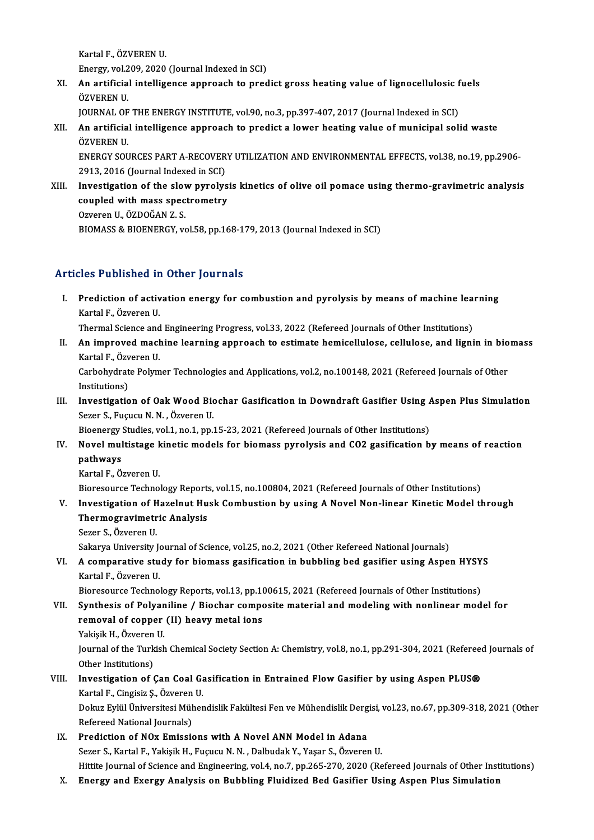KartalF.,ÖZVERENU. Kartal F., ÖZVEREN U.<br>Energy, vol.209, 2020 (Journal Indexed in SCI)<br>An entificial intelligance annuageh to nuad

- XI. An artificial intelligence approach to predict gross heating value of lignocellulosic fuels OZVEREN U. Energy, vol.2<br>**An artificia<br>ÖZVEREN U.**<br>JOURNAL OF An artificial intelligence approach to predict gross heating value of lignocellulosic f<br>ÖZVEREN U.<br>JOURNAL OF THE ENERGY INSTITUTE, vol.90, no.3, pp.397-407, 2017 (Journal Indexed in SCI)<br>An artificial intelligence approac
	-
- XII. An artificial intelligence approach to predict a lower heating value of municipal solid waste<br>ÖZVEREN U. JOURNAL OF<br><mark>An artificia</mark><br>ÖZVEREN U.<br>ENERCY SOL An artificial intelligence approach to predict a lower heating value of municipal solid waste<br>ÖZVEREN U.<br>ENERGY SOURCES PART A-RECOVERY UTILIZATION AND ENVIRONMENTAL EFFECTS, vol.38, no.19, pp.2906-<br>2012-2016 (Journal Indo

ÖZVEREN U.<br>ENERGY SOURCES PART A-RECOVER<br>2913, 2016 (Journal Indexed in SCI)<br>Investigation of the slow nurolys ENERGY SOURCES PART A-RECOVERY UTILIZATION AND ENVIRONMENTAL EFFECTS, vol.38, no.19, pp.2906-<br>2913, 2016 (Journal Indexed in SCI)<br>XIII. Investigation of the slow pyrolysis kinetics of olive oil pomace using thermo-gravimet

2913, 2016 (Journal Indexed in SCI)<br>Investigation of the slow pyrolys<br>coupled with mass spectrometry<br>Oweren U. ÖZDOČAN Z S Investigation of the slov<br>coupled with mass spec<br>Ozveren U., ÖZDOĞAN Z. S.<br>PIOMASS & PIOENEDCV v coupled with mass spectrometry<br>Ozveren U., ÖZDOĞAN Z. S.<br>BIOMASS & BIOENERGY, vol.58, pp.168-179, 2013 (Journal Indexed in SCI)

### Articles Published in Other Journals

rticles Published in Other Journals<br>I. Prediction of activation energy for combustion and pyrolysis by means of machine learning<br>Kartal E. Öwrenen H *Kartal F., Özveren U.*<br>Frediction of activ<br>Kartal F., Özveren U.<br>Thermal Science and Prediction of activation energy for combustion and pyrolysis by means of machine lea:<br>Kartal F., Özveren U.<br>Thermal Science and Engineering Progress, vol.33, 2022 (Refereed Journals of Other Institutions)<br>An improved machi

Kartal F., Özveren U.<br>Thermal Science and Engineering Progress, vol.33, 2022 (Refereed Journals of Other Institutions)<br>II. An improved machine learning approach to estimate hemicellulose, cellulose, and lignin in biomass<br>K Thermal Science and<br>An improved mach<br>Kartal F., Özveren U.<br>Carbabydrata Palym An improved machine learning approach to estimate hemicellulose, cellulose, and lignin in bio<br>Kartal F., Özveren U.<br>Carbohydrate Polymer Technologies and Applications, vol.2, no.100148, 2021 (Refereed Journals of Other<br>Ins

Kartal F., Özveren U.<br>Carbohydrate Polymer Technologies and Applications, vol.2, no.100148, 2021 (Refereed Journals of Other<br>Institutions) Carbohydrate Polymer Technologies and Applications, vol.2, no.100148, 2021 (Refereed Journals of Other<br>Institutions)<br>III. Investigation of Oak Wood Biochar Gasification in Downdraft Gasifier Using Aspen Plus Simulation<br>Ser

Sezer S., Fuçucu N. N., Özveren U. Investigation of Oak Wood Biochar Gasification in Downdraft Gasifier Using A<br>Sezer S., Fuçucu N. N. , Özveren U.<br>Bioenergy Studies, vol.1, no.1, pp.15-23, 2021 (Refereed Journals of Other Institutions)<br>Novel multistage kin

Bioenergy Studies, vol.1, no.1, pp.15-23, 2021 (Refereed Journals of Other Institutions)

IV. Novel multistage kinetic models for biomass pyrolysis and CO2 gasification by means of reaction pathways pathways<br>Kartal F., Özveren U.<br>Bioresource Technology Reports, vol.15, no.100804, 2021 (Refereed Journals of Other Institutions)<br>Investigation of Hagelnut Huck Combustion by using A Novel Non linear Kinetic Model th

KartalF.,ÖzverenU.

# Kartal F., Özveren U.<br>Bioresource Technology Reports, vol.15, no.100804, 2021 (Refereed Journals of Other Institutions)<br>V. Investigation of Hazelnut Husk Combustion by using A Novel Non-linear Kinetic Model through<br>Ther

Bioresource Technology Report<br>Investigation of Hazelnut Hu<br>Thermogravimetric Analysis<br>Seger S. Öwenen H Investigation of H<br>Thermogravimetr<br>Sezer S., Özveren U.<br>Sekarva University b

Thermogravimetric Analysis<br>Sezer S., Özveren U.<br>Sakarya University Journal of Science, vol.25, no.2, 2021 (Other Refereed National Journals)

Sezer S., Özveren U.<br>Sakarya University Journal of Science, vol.25, no.2, 2021 (Other Refereed National Journals)<br>VI. A comparative study for biomass gasification in bubbling bed gasifier using Aspen HYSYS<br>Kartal E. Özv Sakarya University Jone<br><mark>A comparative stu</mark><br>Kartal F., Özveren U.<br>Bioresouree Techno A comparative study for biomass gasification in bubbling bed gasifier using Aspen HYSY<br>Kartal F., Özveren U.<br>Bioresource Technology Reports, vol.13, pp.100615, 2021 (Refereed Journals of Other Institutions)<br>Synthesis of Bo

Kartal F., Özveren U.<br>Bioresource Technology Reports, vol.13, pp.100615, 2021 (Refereed Journals of Other Institutions)<br>VII. Synthesis of Polyaniline / Biochar composite material and modeling with nonlinear model for<br>remov Bioresource Technology Reports, vol.13, pp.10<br>Synthesis of Polyaniline / Biochar comporemoval of copper (II) heavy metal ions<br>Valisik H. Ögyeren II Synthesis of Polyan<br>removal of copper<br>Yakişik H., Özveren U.<br>Journal of the Turkish removal of copper (II) heavy metal ions<br>Yakişik H., Özveren U.<br>Journal of the Turkish Chemical Society Section A: Chemistry, vol.8, no.1, pp.291-304, 2021 (Refereed Journals of<br>Other Institutions) Yakişik H., Özveren<br>Journal of the Turk<br>Other Institutions)<br>Investisation of *t* 

## Journal of the Turkish Chemical Society Section A: Chemistry, vol.8, no.1, pp.291-304, 2021 (Refereed<br>Other Institutions)<br>VIII. Investigation of Çan Coal Gasification in Entrained Flow Gasifier by using Aspen PLUS®<br>Kartal Other Institutions)<br>Investigation of Çan Coal Ga<br>Kartal F., Cingisiz Ş., Özveren U.<br>Dolara Fulül Ünivensitesi Müher Kartal F., Cingisiz Ş., Özveren U.

Dokuz Eylül Üniversitesi Mühendislik Fakültesi Fen ve Mühendislik Dergisi, vol.23, no.67, pp.309-318, 2021 (Other<br>Refereed National Journals)

- IX. Prediction of NOx Emissions with A Novel ANN Model in Adana Sezer S., Kartal F., Yakişik H., Fuçucu N. N., Dalbudak Y., Yaşar S., Özveren U. Prediction of NOx Emissions with A Novel ANN Model in Adana<br>Sezer S., Kartal F., Yakişik H., Fuçucu N. N. , Dalbudak Y., Yaşar S., Özveren U.<br>Hittite Journal of Science and Engineering, vol.4, no.7, pp.265-270, 2020 (Refer Sezer S., Kartal F., Yakişik H., Fuçucu N. N. , Dalbudak Y., Yaşar S., Özveren U.<br>Hittite Journal of Science and Engineering, vol.4, no.7, pp.265-270, 2020 (Refereed Journals of Other Inst<br>X. Energy and Exergy Analysis
-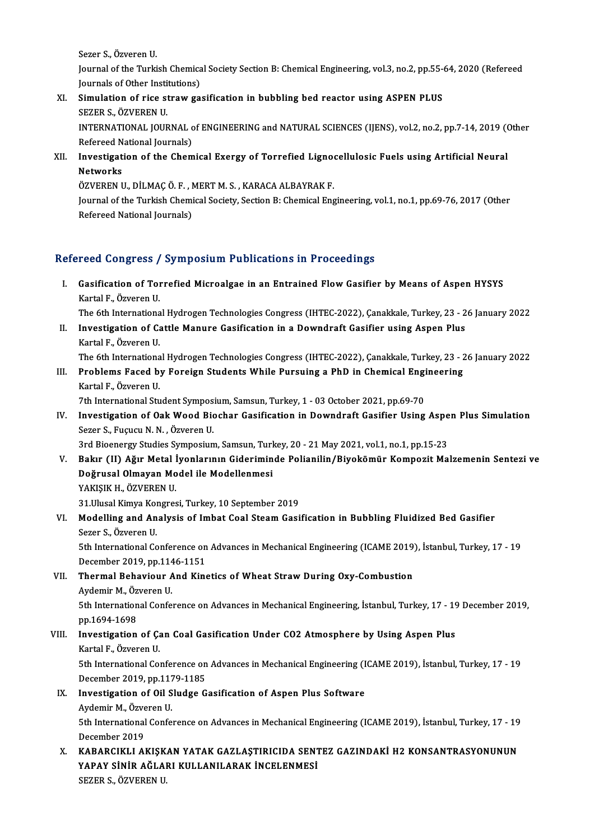Sezer S.,ÖzverenU.

Sezer S., Özveren U.<br>Journal of the Turkish Chemical Society Section B: Chemical Engineering, vol.3, no.2, pp.55-64, 2020 (Refereed<br>Journals of Other Institutione) Sezer S., Özveren U.<br>Journal of the Turkish Chemica<br>Journals of Other Institutions)<br>Simulation of rise strew 50 Journal of the Turkish Chemical Society Section B: Chemical Engineering, vol.3, no.2, pp.55-4<br>Journals of Other Institutions)<br>XI. Simulation of rice straw gasification in bubbling bed reactor using ASPEN PLUS<br>SEZER S. ÖZVE

## **Journals of Other Insti<br>Simulation of rice st<br>SEZER S., ÖZVEREN U.<br>INTERNATIONAL JOUR** Simulation of rice straw gasification in bubbling bed reactor using ASPEN PLUS<br>SEZER S., ÖZVEREN U.<br>INTERNATIONAL JOURNAL of ENGINEERING and NATURAL SCIENCES (IJENS), vol.2, no.2, pp.7-14, 2019 (Other<br>Pefereed National Jou

SEZER S., ÖZVEREN U.<br>INTERNATIONAL JOURNAL c<br>Refereed National Journals)<br>Investigation of the Chem Refereed National Journals)

XII. Investigation of the Chemical Exergy of Torrefied Lignocellulosic Fuels using Artificial Neural<br>Networks Investigation of the Chemical Exergy of Torrefied Ligno<br>Networks<br>ÖZVEREN U., DİLMAÇ Ö. F. , MERT M. S. , KARACA ALBAYRAK F.<br>Journal of the Turkish Chemical Society, Section B. Chemical Eng

Journal of the Turkish Chemical Society, Section B: Chemical Engineering, vol.1, no.1, pp.69-76, 2017 (Other Refereed National Journals) ÖZVEREN U., DİLMAÇ Ö. F. , I<br>Journal of the Turkish Chemi<br>Refereed National Journals)

#### Refereed Congress / Symposium Publications in Proceedings

efereed Congress / Symposium Publications in Proceedings<br>I. Gasification of Torrefied Microalgae in an Entrained Flow Gasifier by Means of Aspen HYSYS<br>Kartal E. Öwenen H Teca Congress<br>Gasification of Tor<br>Kartal F., Özveren U.<br>The 6th Internations Gasification of Torrefied Microalgae in an Entrained Flow Gasifier by Means of Aspen HYSYS<br>Kartal F., Özveren U.<br>The 6th International Hydrogen Technologies Congress (IHTEC-2022), Çanakkale, Turkey, 23 - 26 January 2022<br>In

Kartal F., Özveren U.<br>I . Investigation of Cattle Manure Gasification in a Downdraft Gasifier using Aspen Plus<br>I . Investigation of Cattle Manure Gasification in a Downdraft Gasifier using Aspen Plus<br>Kartal E. Özveren U. The 6th Internationa<br>Investigation of Ca<br>Kartal F., Özveren U.<br>The 6th Internationa Kartal F., Özveren U.<br>The 6th International Hydrogen Technologies Congress (IHTEC-2022), Çanakkale, Turkey, 23 - 26 January 2022

Kartal F., Özveren U.<br>I. The 6th International Hydrogen Technologies Congress (IHTEC-2022), Çanakkale, Turkey, 23 - 2<br>III. Problems Faced by Foreign Students While Pursuing a PhD in Chemical Engineering<br>Kartal E. Özveren U The 6th Internationa<br>Problems Faced b<br>Kartal F., Özveren U.<br><sup>7th International Stu</sup> Problems Faced by Foreign Students While Pursuing a PhD in Chemical Engi<br>Kartal F., Özveren U.<br>7th International Student Symposium, Samsun, Turkey, 1 - 03 October 2021, pp.69-70<br>Investigation of Oak Wood Bioshar Casificati

Kartal F., Özveren U.<br>7th International Student Symposium, Samsun, Turkey, 1 - 03 October 2021, pp.69-70<br>IV. Investigation of Oak Wood Biochar Gasification in Downdraft Gasifier Using Aspen Plus Simulation<br>Serer S. Eug Tth International Student Sympos<br>Investigation of Oak Wood Bic<br>Sezer S., Fuçucu N. N. , Özveren U.<br><sup>2nd Biconorgy Studies Symposium</sup> Investigation of Oak Wood Biochar Gasification in Downdraft Gasifier Using Aspe<br>Sezer S., Fuçucu N. N. , Özveren U.<br>3rd Bioenergy Studies Symposium, Samsun, Turkey, 20 - 21 May 2021, vol.1, no.1, pp.15-23<br>Bakır (II) Ağır M Sezer S., Fuçucu N. N. , Özveren U.<br>3rd Bioenergy Studies Symposium, Samsun, Turkey, 20 - 21 May 2021, vol.1, no.1, pp.15-23<br>7. Bakır (II) Ağır Metal İyonlarının Gideriminde Polianilin/Biyokömür Kompozit Malzemenin Sentezi

3rd Bioenergy Studies Symposium, Samsun, Turl<br>Bakır (II) Ağır Metal İyonlarının Giderimin<br>Doğrusal Olmayan Model ile Modellenmesi<br>YAKISIK H. ÖZVEREN II Bakır (II) Ağır Metal İ<br>Doğrusal Olmayan Mo<br>YAKIŞIK H., ÖZVEREN U.<br><sup>21 Illusal Kimua Kongres</sup> YAKIŞIK H., ÖZVEREN U.<br>31.Ulusal Kimya Kongresi, Turkey, 10 September 2019

## YAKIŞIK H., ÖZVEREN U.<br>31.Ulusal Kimya Kongresi, Turkey, 10 September 2019<br>VI. Modelling and Analysis of Imbat Coal Steam Gasification in Bubbling Fluidized Bed Gasifier<br>Serer S. Özveren U. **31.Ulusal Kimya Kor<br>Modelling and An<br>Sezer S., Özveren U.<br>Eth International Co** Modelling and Analysis of Imbat Coal Steam Gasification in Bubbling Fluidized Bed Gasifier<br>Sezer S., Özveren U.<br>5th International Conference on Advances in Mechanical Engineering (ICAME 2019), İstanbul, Turkey, 17 - 19<br>Des

Sezer S., Özveren U.<br>5th International Conference on<br>December 2019, pp.1146-1151<br>Thermal Behaviour And Kins 5th International Conference on Advances in Mechanical Engineering (ICAME 2019)<br>December 2019, pp.1146-1151<br>VII. Thermal Behaviour And Kinetics of Wheat Straw During Oxy-Combustion<br>Avdemir M. Özyaren II.

December 2019, pp.1146-1151<br>VII. Thermal Behaviour And Kinetics of Wheat Straw During Oxy-Combustion<br>Aydemir M., Özveren U. Thermal Behaviour And Kinetics of Wheat Straw During Oxy-Combustion<br>Aydemir M., Özveren U.<br>5th International Conference on Advances in Mechanical Engineering, İstanbul, Turkey, 17 - 19 December 2019,<br>nn 1604 1609 Aydemir M., Öz<br>5th Internation<br>pp.1694-1698<br>Investigation

## 5th International Conference on Advances in Mechanical Engineering, İstanbul, Turkey, 17 - 19<br>pp.1694-1698<br>VIII. Investigation of Çan Coal Gasification Under CO2 Atmosphere by Using Aspen Plus<br>Kortal E. Örveren H pp.1694-1698<br>VIII. Investigation of Çan Coal Gasification Under CO2 Atmosphere by Using Aspen Plus<br>Kartal F., Özveren U. Investigation of Çan Coal Gasification Under CO2 Atmosphere by Using Aspen Plus<br>Kartal F., Özveren U.<br>5th International Conference on Advances in Mechanical Engineering (ICAME 2019), İstanbul, Turkey, 17 - 19<br>Desember 2019

Kartal F., Özveren U.<br>5th International Conference on<br>December 2019, pp.1179-1185<br>Investisation of Oil Sludge G 5th International Conference on Advances in Mechanical Engineering (I<br>December 2019, pp.1179-1185<br>IX. Investigation of Oil Sludge Gasification of Aspen Plus Software<br>Aydemin M. Özyaron II.

- December 2019, pp.117<br>Investigation of Oil S<br>Aydemir M., Özveren U.<br>Eth International Confo Investigation of Oil Sludge Gasification of Aspen Plus Software<br>Aydemir M., Özveren U.<br>5th International Conference on Advances in Mechanical Engineering (ICAME 2019), İstanbul, Turkey, 17 - 19<br>Desember 2019 Aydemir M., Özve<br>5th International<br>December 2019<br>KARARCIKULA 5th International Conference on Advances in Mechanical Engineering (ICAME 2019), İstanbul, Turkey, 17 - 19<br>December 2019<br>X. KABARCIKLI AKIŞKAN YATAK GAZLAŞTIRICIDA SENTEZ GAZINDAKİ H2 KONSANTRASYONUNUN<br>YARAY SİNİR AĞLARI K
- December 2019<br>KABARCIKLI AKIŞKAN YATAK GAZLAŞTIRICIDA SENT<br>YAPAY SİNİR AĞLARI KULLANILARAK İNCELENMESİ<br>SEZER S. ÖZVEREN U YAPAY SİNİR AĞLARI KULLANILARAK İNCELENMESI<br>SEZER S., ÖZVEREN U.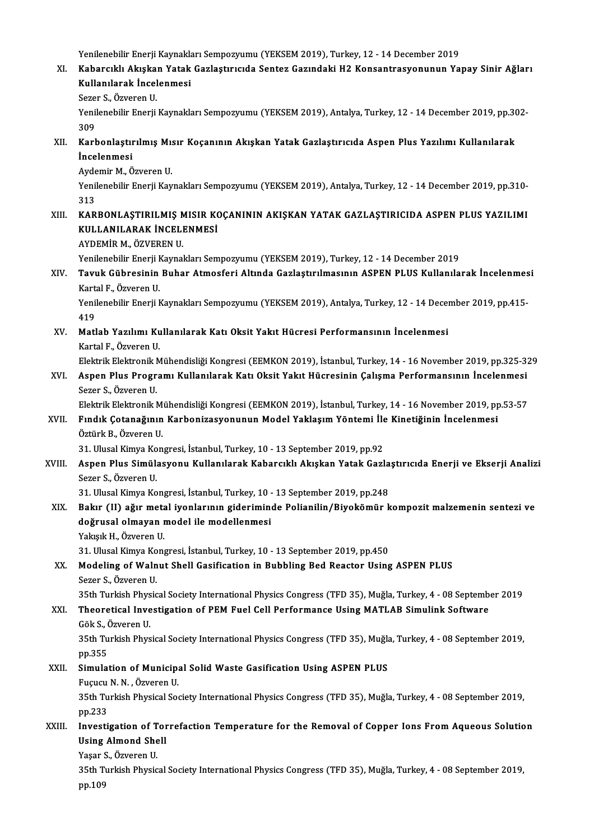Yenilenebilir Enerji Kaynakları Sempozyumu (YEKSEM 2019), Turkey, 12 - 14 December 2019<br>Kahanaklı Akıskan Yatak Garlastınısıda Santar Carındaki H2 Kansantrasyonunun Ya Yenilenebilir Enerji Kaynakları Sempozyumu (YEKSEM 2019), Turkey, 12 - 14 December 2019<br>XI. Kabarcıklı Akışkan Yatak Gazlaştırıcıda Sentez Gazındaki H2 Konsantrasyonunun Yapay Sinir Ağları<br>Kullanılarak İngelenmesi Yenilenebilir Enerji Kaynakla<br>Kabarcıklı Akışkan Yatak<br>Kullanılarak İncelenmesi<br>Sezer S. Özveren U Kabarcıklı Akışka<br>Kullanılarak İncel<br>Sezer S., Özveren U.<br><sup>Vonilanabilin Enerii</sup> Kullanılarak İncelenmesi<br>Sezer S., Özveren U.<br>Yenilenebilir Enerji Kaynakları Sempozyumu (YEKSEM 2019), Antalya, Turkey, 12 - 14 December 2019, pp.302-<br>200 Sezei<br>Yenil<br>309<br>Kark Yenilenebilir Enerji Kaynakları Sempozyumu (YEKSEM 2019), Antalya, Turkey, 12 - 14 December 2019, pp.30<br>309<br>XII. Karbonlaştırılmış Mısır Koçanının Akışkan Yatak Gazlaştırıcıda Aspen Plus Yazılımı Kullanılarak<br>İncelenmesi 309<br>Karbonlaştır<br>İncelenmesi<br>Avdomir M. Ö Karbonlaştırılmış Mı:<br>İncelenmesi<br>Aydemir M., Özveren U.<br>Yonilonebilir Enerii Kav **İncelenmesi**<br>Aydemir M., Özveren U.<br>Yenilenebilir Enerji Kaynakları Sempozyumu (YEKSEM 2019), Antalya, Turkey, 12 - 14 December 2019, pp.310-Ayde<br>Yenil<br>313<br>KAR Yenilenebilir Enerji Kaynakları Sempozyumu (YEKSEM 2019), Antalya, Turkey, 12 - 14 December 2019, pp.310-<br>313<br>XIII. KARBONLAŞTIRILMIŞ MISIR KOÇANININ AKIŞKAN YATAK GAZLAŞTIRICIDA ASPEN PLUS YAZILIMI 313<br>XIII. KARBONLAŞTIRILMIŞ MISIR KOÇANININ AKIŞKAN YATAK GAZLAŞTIRICIDA ASPEN PLUS YAZILIMI<br>KULLANILARAK İNCELENMESİ AYDEMİRM.,ÖZVERENU. KULLANILARAK İNCELENMESİ<br>AYDEMİR M., ÖZVEREN U.<br>Yenilenebilir Enerji Kaynakları Sempozyumu (YEKSEM 2019), Turkey, 12 - 14 December 2019<br>Tevuk Gühnesinin Buhar Atmosfari Altında Gozlastırılmasının ASBEN BLUS Kullanıla AYDEMİR M., ÖZVEREN U.<br>Yenilenebilir Enerji Kaynakları Sempozyumu (YEKSEM 2019), Turkey, 12 - 14 December 2019<br>XIV. Tavuk Gübresinin Buhar Atmosferi Altında Gazlaştırılmasının ASPEN PLUS Kullanılarak İncelenmesi<br>Kaytal Yenilenebilir Enerji I<br><mark>Tavuk Gübresinin</mark><br>Kartal F., Özveren U.<br><sup>Venilenebilir Enerji I</sup> Tavuk Gübresinin Buhar Atmosferi Altında Gazlaştırılmasının ASPEN PLUS Kullanılarak İncelenmes<br>Kartal F., Özveren U.<br>Yenilenebilir Enerji Kaynakları Sempozyumu (YEKSEM 2019), Antalya, Turkey, 12 - 14 December 2019, pp.415-Kartal F., Özveren U.<br>Yenilenebilir Enerji Kaynakları Sempozyumu (YEKSEM 2019), Antalya, Turkey, 12 - 14 December 2019, pp.415-<br>419 Yenilenebilir Enerji Kaynakları Sempozyumu (YEKSEM 2019), Antalya, Turkey, 12 - 14 Decel<br>419<br>XV. Matlab Yazılımı Kullanılarak Katı Oksit Yakıt Hücresi Performansının İncelenmesi<br>Kartal E. Özyanan II 419<br>M<mark>atlab Yazılımı Ku</mark><br>Kartal F., Özveren U.<br>Flektrik Flektronik M Kartal F., Özveren U.<br>Elektrik Elektronik Mühendisliği Kongresi (EEMKON 2019), İstanbul, Turkey, 14 - 16 November 2019, pp.325-329 Kartal F., Özveren U.<br>Elektrik Elektronik Mühendisliği Kongresi (EEMKON 2019), İstanbul, Turkey, 14 - 16 November 2019, pp.325-3.<br>XVI. Aspen Plus Programı Kullanılarak Katı Oksit Yakıt Hücresinin Çalışma Performansının Elektrik Elektronik I<br>Aspen Plus Progr<br>Sezer S., Özveren U.<br>Elektrik Elektronik I Aspen Plus Programı Kullanılarak Katı Oksit Yakıt Hücresinin Çalışma Performansının İncelenmesi<br>Sezer S., Özveren U.<br>Elektrik Elektronik Mühendisliği Kongresi (EEMKON 2019), İstanbul, Turkey, 14 - 16 November 2019, pp.53-5 Sezer S., Özveren U.<br>Elektrik Elektronik Mühendisliği Kongresi (EEMKON 2019), İstanbul, Turkey, 14 - 16 November 2019, pp<br>XVII. Fındık Çotanağının Karbonizasyonunun Model Yaklaşım Yöntemi İle Kinetiğinin İncelenmesi<br>Östü Elektrik Elektronik M<br>Fındık Çotanağının<br>Öztürk B., Özveren U.<br><sup>21. Hlusal Kimua Kon</sup> Fındık Çotanağının Karbonizasyonunun Model Yaklaşım Yöntemi İle Kinetiğinin İncelenmesi<br>Öztürk B., Özveren U.<br>31. Ulusal Kimya Kongresi, İstanbul, Turkey, 10 - 13 September 2019, pp.92 Öztürk B., Özveren U.<br>31. Ulusal Kimya Kongresi, İstanbul, Turkey, 10 - 13 September 2019, pp.92<br>XVIII. Aspen Plus Simülasyonu Kullanılarak Kabarcıklı Akışkan Yatak Gazlaştırıcıda Enerji ve Ekserji Analizi 31. Ulusal Kimya Ko<br>Aspen Plus Simül:<br>Sezer S., Özveren U.<br>21. Ulusal Kimya Ko Aspen Plus Simülasyonu Kullanılarak Kabarcıklı Akışkan Yatak Gazla<br>Sezer S., Özveren U.<br>31. Ulusal Kimya Kongresi, İstanbul, Turkey, 10 - 13 September 2019, pp.248<br>Pekus (II) eğur metal iyonlarının gideriminde Belianilin ( Sezer S., Özveren U.<br>31. Ulusal Kimya Kongresi, İstanbul, Turkey, 10 - 13 September 2019, pp.248<br>XIX. Bakır (II) ağır metal iyonlarının gideriminde Polianilin/Biyokömür kompozit malzemenin sentezi ve<br>doğuyasl olmayan m 31. Ulusal Kimya Kongresi, İstanbul, Turkey, 10 -<br>Bakır (II) ağır metal iyonlarının giderimine<br>doğrusal olmayan model ile modellenmesi<br>Yakayı H. Özveren H Bakır (II) ağır meta<br>doğrusal olmayan ı<br>Yakışık H., Özveren U.<br><sup>21. Hlusal Kimua Kona</sub></sup> doğrusal olmayan model ile modellenmesi<br>Yakışık H., Özveren U.<br>31. Ulusal Kimya Kongresi, İstanbul, Turkey, 10 - 13 September 2019, pp.450<br>Modeling of Welput Shell Cesifisation in Buhbling Bod Boaston Heine Yakışık H., Özveren U.<br>31. Ulusal Kimya Kongresi, İstanbul, Turkey, 10 - 13 September 2019, pp.450<br>XX. Modeling of Walnut Shell Gasification in Bubbling Bed Reactor Using ASPEN PLUS<br>Sezer S., Özveren U. 31. Ulusal Kimya Ko<br>Modeling of Waln<br>Sezer S., Özveren U.<br><sup>25th Turkish Physia</sub></sup> Modeling of Walnut Shell Gasification in Bubbling Bed Reactor Using ASPEN PLUS<br>Sezer S., Özveren U.<br>35th Turkish Physical Society International Physics Congress (TFD 35), Muğla, Turkey, 4 - 08 September 2019<br>Theoretisel In Sezer S., Özveren U.<br>35th Turkish Physical Society International Physics Congress (TFD 35), Muğla, Turkey, 4 - 08 Septemb<br>XXI. Theoretical Investigation of PEM Fuel Cell Performance Using MATLAB Simulink Software<br>Cök S 35th Turkish Phys<br>Theoretical Inve<br>Gök S., Özveren U.<br><sup>25th Turkish Phys</sup> Theoretical Investigation of PEM Fuel Cell Performance Using MATLAB Simulink Software<br>Gök S., Özveren U.<br>35th Turkish Physical Society International Physics Congress (TFD 35), Muğla, Turkey, 4 - 08 September 2019,<br>nn <sup>255</sup> Gök S., (<br>35th Tu<br>pp.355<br>Simulai 35th Turkish Physical Society International Physics Congress (TFD 35), Muğlapp. 255<br>pp. 355<br>XXII. Simulation of Municipal Solid Waste Gasification Using ASPEN PLUS<br>Every N. N. Özygen H pp.355<br><mark>Simulation of Municip</mark>:<br>Fuçucu N. N. , Özveren U.<br><sup>25th Tunkish Physical So</sup> 35th Turkish Physical Society International Physics Congress (TFD 35), Muğla, Turkey, 4 - 08 September 2019, pp.233 Fuçucu N. N., Özveren U. XXIII. Investigation of Torrefaction Temperature for the Removal of Copper Ions From Aqueous Solution pp.233<br>Investigation of To<br>Using Almond Shell<br>Yeser S. Öwreren H Investigation of T<br>Using Almond She<br>Yaşar S., Özveren U.<br>25th Turkish Physia Using Almond Shell<br>Yaşar S., Özveren U.<br>35th Turkish Physical Society International Physics Congress (TFD 35), Muğla, Turkey, 4 - 08 September 2019,<br>pp.100.

Yaşar S<br>35th T<br>pp.109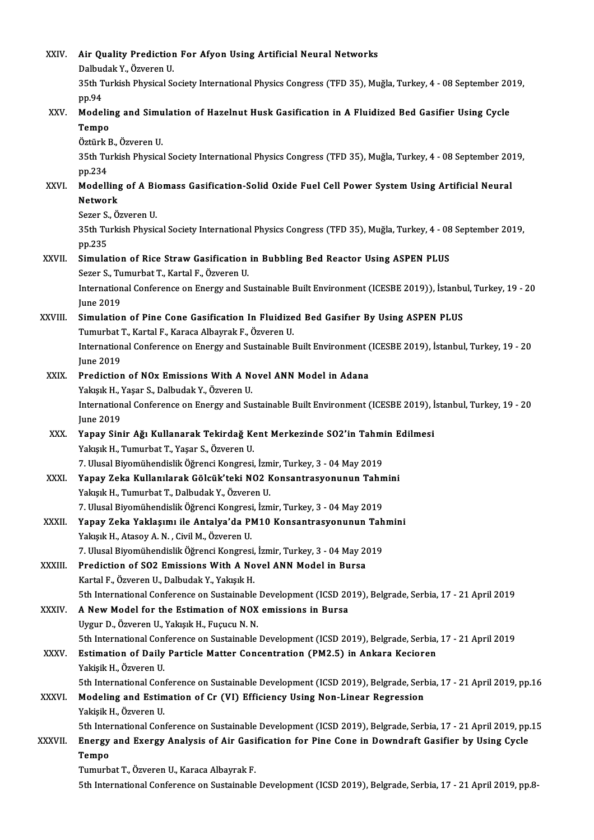| XXIV.         | Air Quality Prediction For Afyon Using Artificial Neural Networks<br>Dalbudak Y., Özveren U.                                                 |
|---------------|----------------------------------------------------------------------------------------------------------------------------------------------|
|               | 35th Turkish Physical Society International Physics Congress (TFD 35), Muğla, Turkey, 4 - 08 September 2019,<br>pp.94                        |
| XXV.          | Modeling and Simulation of Hazelnut Husk Gasification in A Fluidized Bed Gasifier Using Cycle<br>Tempo                                       |
|               | Öztürk B., Özveren U.                                                                                                                        |
|               | 35th Turkish Physical Society International Physics Congress (TFD 35), Muğla, Turkey, 4 - 08 September 2019,<br>pp 234                       |
| XXVI.         | Modelling of A Biomass Gasification-Solid Oxide Fuel Cell Power System Using Artificial Neural<br>Network                                    |
|               | Sezer S., Özveren U.<br>35th Turkish Physical Society International Physics Congress (TFD 35), Muğla, Turkey, 4 - 08 September 2019,         |
| XXVII.        | pp.235<br>Simulation of Rice Straw Gasification in Bubbling Bed Reactor Using ASPEN PLUS<br>Sezer S., Tumurbat T., Kartal F., Özveren U.     |
|               | International Conference on Energy and Sustainable Built Environment (ICESBE 2019)), İstanbul, Turkey, 19 - 20<br><b>June 2019</b>           |
| XXVIII.       | Simulation of Pine Cone Gasification In Fluidized Bed Gasifier By Using ASPEN PLUS<br>Tumurbat T., Kartal F., Karaca Albayrak F., Özveren U. |
|               | International Conference on Energy and Sustainable Built Environment (ICESBE 2019), İstanbul, Turkey, 19 - 20<br><b>June 2019</b>            |
| XXIX.         | Prediction of NOx Emissions With A Novel ANN Model in Adana                                                                                  |
|               | Yakışık H., Yaşar S., Dalbudak Y., Özveren U.                                                                                                |
|               | International Conference on Energy and Sustainable Built Environment (ICESBE 2019), İstanbul, Turkey, 19 - 20<br><b>June 2019</b>            |
| XXX.          | Yapay Sinir Ağı Kullanarak Tekirdağ Kent Merkezinde SO2'in Tahmin Edilmesi                                                                   |
|               | Yakışık H., Tumurbat T., Yaşar S., Özveren U.                                                                                                |
|               | 7. Ulusal Biyomühendislik Öğrenci Kongresi, İzmir, Turkey, 3 - 04 May 2019                                                                   |
| XXXI.         | Yapay Zeka Kullanılarak Gölcük'teki NO2 Konsantrasyonunun Tahmini                                                                            |
|               | Yakışık H., Tumurbat T., Dalbudak Y., Özveren U.                                                                                             |
|               | 7. Ulusal Biyomühendislik Öğrenci Kongresi, İzmir, Turkey, 3 - 04 May 2019                                                                   |
| XXXII.        | Yapay Zeka Yaklaşımı ile Antalya'da PM10 Konsantrasyonunun Tahmini                                                                           |
|               | Yakışık H., Atasoy A. N., Civil M., Özveren U.                                                                                               |
|               | 7. Ulusal Biyomühendislik Öğrenci Kongresi, İzmir, Turkey, 3 - 04 May 2019                                                                   |
| <b>XXXIII</b> | Prediction of SO2 Emissions With A Novel ANN Model in Bursa<br>Kartal F., Özveren U., Dalbudak Y., Yakışık H.                                |
|               | 5th International Conference on Sustainable Development (ICSD 2019), Belgrade, Serbia, 17 - 21 April 2019                                    |
| XXXIV.        | A New Model for the Estimation of NOX emissions in Bursa                                                                                     |
|               | Uygur D., Özveren U., Yakışık H., Fuçucu N. N.                                                                                               |
|               | 5th International Conference on Sustainable Development (ICSD 2019), Belgrade, Serbia, 17 - 21 April 2019                                    |
| XXXV.         | Estimation of Daily Particle Matter Concentration (PM2.5) in Ankara Kecioren<br>Yakişik H., Özveren U.                                       |
|               | 5th International Conference on Sustainable Development (ICSD 2019), Belgrade, Serbia, 17 - 21 April 2019, pp.16                             |
| <b>XXXVI</b>  | Modeling and Estimation of Cr (VI) Efficiency Using Non-Linear Regression<br>Yakişik H., Özveren U.                                          |
|               | 5th International Conference on Sustainable Development (ICSD 2019), Belgrade, Serbia, 17 - 21 April 2019, pp.15                             |
| XXXVII.       | Energy and Exergy Analysis of Air Gasification for Pine Cone in Downdraft Gasifier by Using Cycle<br>Tempo                                   |
|               | Tumurbat T., Özveren U., Karaca Albayrak F.                                                                                                  |
|               | 5th International Conference on Sustainable Development (ICSD 2019), Belgrade, Serbia, 17 - 21 April 2019, pp.8-                             |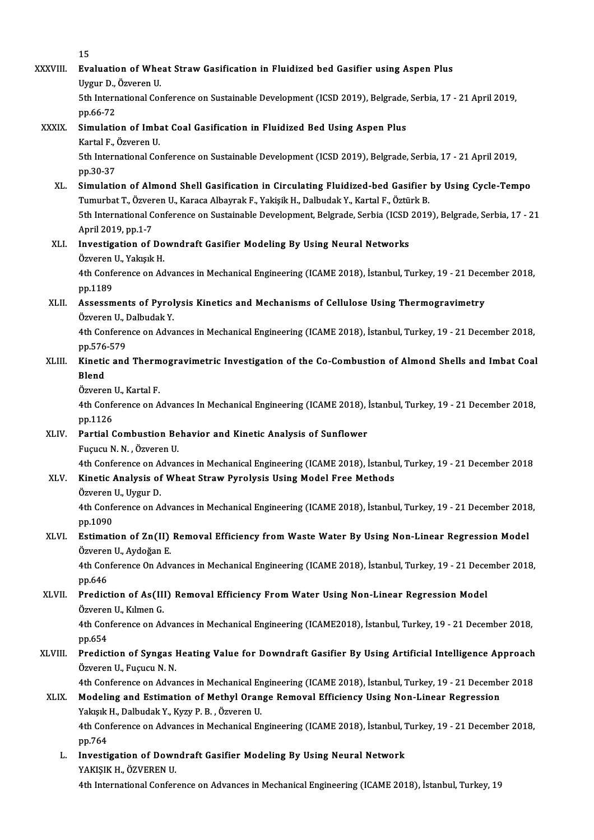|          | 15                                                                                                                     |
|----------|------------------------------------------------------------------------------------------------------------------------|
| XXXVIII. | Evaluation of Wheat Straw Gasification in Fluidized bed Gasifier using Aspen Plus                                      |
|          | Uygur D., Özveren U.                                                                                                   |
|          | 5th International Conference on Sustainable Development (ICSD 2019), Belgrade, Serbia, 17 - 21 April 2019,             |
|          | pp 66-72                                                                                                               |
| XXXIX.   | Simulation of Imbat Coal Gasification in Fluidized Bed Using Aspen Plus                                                |
|          | Kartal F., Özveren U.                                                                                                  |
|          | 5th International Conference on Sustainable Development (ICSD 2019), Belgrade, Serbia, 17 - 21 April 2019,<br>pp 30-37 |
| XL.      | Simulation of Almond Shell Gasification in Circulating Fluidized-bed Gasifier by Using Cycle-Tempo                     |
|          | Tumurbat T., Özveren U., Karaca Albayrak F., Yakişik H., Dalbudak Y., Kartal F., Öztürk B.                             |
|          | 5th International Conference on Sustainable Development, Belgrade, Serbia (ICSD 2019), Belgrade, Serbia, 17 - 21       |
|          | April 2019, pp 1-7                                                                                                     |
| XLI.     | Investigation of Downdraft Gasifier Modeling By Using Neural Networks<br>Özveren U., Yakışık H.                        |
|          | 4th Conference on Advances in Mechanical Engineering (ICAME 2018), İstanbul, Turkey, 19 - 21 December 2018,            |
|          | pp 1189                                                                                                                |
| XLII.    | Assessments of Pyrolysis Kinetics and Mechanisms of Cellulose Using Thermogravimetry                                   |
|          | Özveren U., Dalbudak Y.                                                                                                |
|          | 4th Conference on Advances in Mechanical Engineering (ICAME 2018), İstanbul, Turkey, 19 - 21 December 2018,            |
|          | pp 576-579                                                                                                             |
| XLIII.   | Kinetic and Thermogravimetric Investigation of the Co-Combustion of Almond Shells and Imbat Coal                       |
|          | <b>Blend</b>                                                                                                           |
|          | Özveren U., Kartal F                                                                                                   |
|          | 4th Conference on Advances In Mechanical Engineering (ICAME 2018), İstanbul, Turkey, 19 - 21 December 2018,            |
|          | pp 1126                                                                                                                |
| XLIV.    | Partial Combustion Behavior and Kinetic Analysis of Sunflower<br>Fuçucu N. N., Özveren U.                              |
|          | 4th Conference on Advances in Mechanical Engineering (ICAME 2018), İstanbul, Turkey, 19 - 21 December 2018             |
| XLV.     | Kinetic Analysis of Wheat Straw Pyrolysis Using Model Free Methods                                                     |
|          | Özveren U., Uygur D.                                                                                                   |
|          | 4th Conference on Advances in Mechanical Engineering (ICAME 2018), İstanbul, Turkey, 19 - 21 December 2018,            |
|          | pp.1090                                                                                                                |
| XLVI.    | Estimation of Zn(II) Removal Efficiency from Waste Water By Using Non-Linear Regression Model                          |
|          | Özveren U., Aydoğan E.                                                                                                 |
|          | 4th Conference On Advances in Mechanical Engineering (ICAME 2018), İstanbul, Turkey, 19 - 21 December 2018,            |
|          | pp 646                                                                                                                 |
| XLVII.   | Prediction of As(III) Removal Efficiency From Water Using Non-Linear Regression Model                                  |
|          | Özveren U., Kılmen G.                                                                                                  |
|          | 4th Conference on Advances in Mechanical Engineering (ICAME2018), İstanbul, Turkey, 19 - 21 December 2018,<br>pp 654   |
| XLVIII.  | Prediction of Syngas Heating Value for Downdraft Gasifier By Using Artificial Intelligence Approach                    |
|          | Özveren U., Fuçucu N. N.                                                                                               |
|          | 4th Conference on Advances in Mechanical Engineering (ICAME 2018), İstanbul, Turkey, 19 - 21 December 2018             |
| XLIX.    | Modeling and Estimation of Methyl Orange Removal Efficiency Using Non-Linear Regression                                |
|          | Yakışık H., Dalbudak Y., Kyzy P. B., Özveren U.                                                                        |
|          | 4th Conference on Advances in Mechanical Engineering (ICAME 2018), İstanbul, Turkey, 19 - 21 December 2018,            |
|          | pp 764                                                                                                                 |
| L.       | Investigation of Downdraft Gasifier Modeling By Using Neural Network                                                   |
|          | YAKIŞIK H., ÖZVEREN U.                                                                                                 |
|          | 4th International Conference on Advances in Mechanical Engineering (ICAME 2018), İstanbul, Turkey, 19                  |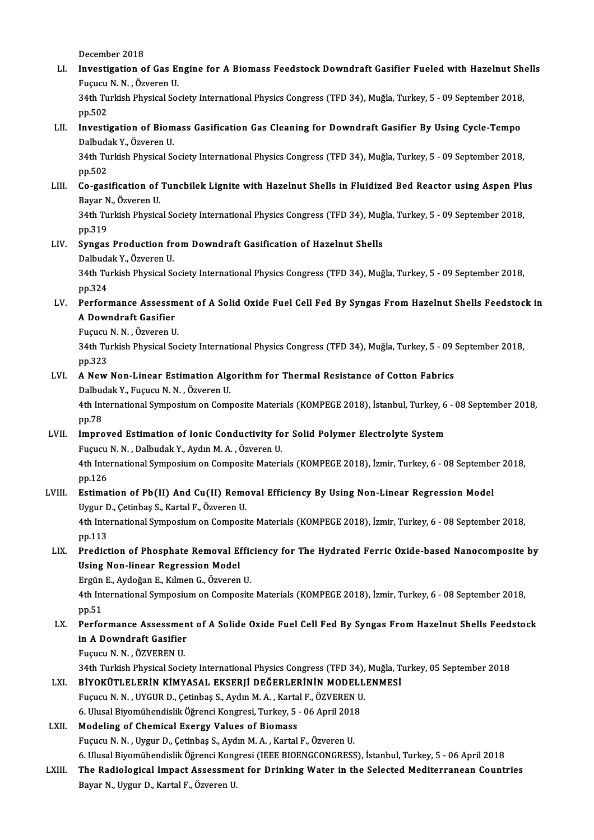December 2018

December 2018<br>LI. Investigation of Gas Engine for A Biomass Feedstock Downdraft Gasifier Fueled with Hazelnut Shells<br>Engym N.N. Özyarer U December 2018<br>Investigation of Gas El<br>Fuçucu N.N., Özveren U.<br>24th Turkish Physical See Investigation of Gas Engine for A Biomass Feedstock Downdraft Gasifier Fueled with Hazelnut Sh<br>Fuçucu N. N. , Özveren U.<br>34th Turkish Physical Society International Physics Congress (TFD 34), Muğla, Turkey, 5 - 09 Septembe

Fuçucu N. N. , Özveren U.<br>34th Turkish Physical Society International Physics Congress (TFD 34), Muğla, Turkey, 5 - 09 September 2018,<br>pp.502 34th Turkish Physical Society International Physics Congress (TFD 34), Muğla, Turkey, 5 - 09 September 2018,<br>pp.502<br>LII. Investigation of Biomass Gasification Gas Cleaning for Downdraft Gasifier By Using Cycle-Tempo<br>Dalbyd

pp.502<br>I<mark>nvestigation of Biom</mark><br>Dalbudak Y., Özveren U.<br>24th Turkish Physical Se Investigation of Biomass Gasification Gas Cleaning for Downdraft Gasifier By Using Cycle-Tempo<br>Dalbudak Y., Özveren U.<br>34th Turkish Physical Society International Physics Congress (TFD 34), Muğla, Turkey, 5 - 09 September

Dalbudak Y., Özveren U.<br>34th Turkish Physical Society International Physics Congress (TFD 34), Muğla, Turkey, 5 - 09 September 2018,<br>pp.502 34th Turkish Physical Society International Physics Congress (TFD 34), Muğla, Turkey, 5 - 09 September 2018,<br>pp.502<br>LIII. Co-gasification of Tuncbilek Lignite with Hazelnut Shells in Fluidized Bed Reactor using Aspen Plus<br>

## pp.502<br>**Co-gasification of**<br>Bayar N., Özveren U.<br>24th Turkish Physics Co-gasification of Tuncbilek Lignite with Hazelnut Shells in Fluidized Bed Reactor using Aspen Plu<br>Bayar N., Özveren U.<br>34th Turkish Physical Society International Physics Congress (TFD 34), Muğla, Turkey, 5 - 09 September

Bayar N., Özveren U.<br>34th Turkish Physical Society International Physics Congress (TFD 34), Muğla, Turkey, 5 - 09 September 2018,<br>pp.319 34th Turkish Physical Society International Physics Congress (TFD 34), Muğ<br>pp.319<br>LIV. Syngas Production from Downdraft Gasification of Hazelnut Shells<br>polludal: Y. Özyazon II.

# pp.319<br>**Syngas Production fr**<br>Dalbudak Y., Özveren U.<br>24th Turkish Physical Se

Syngas Production from Downdraft Gasification of Hazelnut Shells<br>Dalbudak Y., Özveren U.<br>34th Turkish Physical Society International Physics Congress (TFD 34), Muğla, Turkey, 5 - 09 September 2018,<br>nn <sup>224</sup> Dalbuda<br>34th Tu<br>pp.324<br>Perforu 34th Turkish Physical Society International Physics Congress (TFD 34), Muğla, Turkey, 5 - 09 September 2018,<br>pp.324<br>LV. Performance Assessment of A Solid Oxide Fuel Cell Fed By Syngas From Hazelnut Shells Feedstock in

## pp.324<br>Performance Assessm<br>A Downdraft Gasifier<br>Eugugy N. N., Öwkspon U Performance Assessm<br>A Downdraft Gasifier<br>Fuçucu N.N., Özveren U.<br>24th Turkish Physical Se

4 Downdraft Gasifier<br>Fuçucu N. N. , Özveren U.<br>34th Turkish Physical Society International Physics Congress (TFD 34), Muğla, Turkey, 5 - 09 September 2018,<br>pp.323 Fuçucu<br>34th Tu<br>pp.323 34th Turkish Physical Society International Physics Congress (TFD 34), Muğla, Turkey, 5 - 09 :<br>pp.323<br>LVI. A New Non-Linear Estimation Algorithm for Thermal Resistance of Cotton Fabrics<br>Dalbudak V. Eugusy N.N. Özyaron H

## pp.323<br>A New Non-Linear Estimation Alg<br>Dalbudak Y., Fuçucu N. N. , Özveren U.<br>4th International Sumpesium on Comi 4th International Symposium on Composite Materials (KOMPEGE 2018), İstanbul, Turkey, 6 - 08 September 2018, pp.78 Dalbudak Y., Fuçucu N. N., Özveren U.

## 4th International Symposium on Composite Materials (KOMPEGE 2018), İstanbul, Turkey, 6<br>pp.78<br>LVII. Improved Estimation of Ionic Conductivity for Solid Polymer Electrolyte System pp.78<br>I<mark>mproved Estimation of Ionic Conductivity fo</mark><br>Fuçucu N. N. , Dalbudak Y., Aydın M. A. , Özveren U.<br>4th International Sumpesium en Compesite Meteri I<mark>mproved Estimation of Ionic Conductivity for Solid Polymer Electrolyte System</mark><br>Fuçucu N. N. , Dalbudak Y., Aydın M. A. , Özveren U.<br>4th International Symposium on Composite Materials (KOMPEGE 2018), İzmir, Turkey, 6 - 08

Fuçucu<br>4th Inte<br>pp.126<br>Estimai 4th International Symposium on Composite Materials (KOMPEGE 2018), İzmir, Turkey, 6 - 08 Septembe<br>pp.126<br>LVIII. Estimation of Pb(II) And Cu(II) Removal Efficiency By Using Non-Linear Regression Model

## pp.126<br>Estimation of Pb(II) And Cu(II) Removal Efficiency By Using Non-Linear Regression Model<br>Uygur D., Çetinbaş S., Kartal F., Özveren U. Estimation of Pb(II) And Cu(II) Removal Efficiency By Using Non-Linear Regression Model<br>Uygur D., Çetinbaş S., Kartal F., Özveren U.<br>4th International Symposium on Composite Materials (KOMPEGE 2018), İzmir, Turkey, 6 - 08

Uygur <mark>L</mark><br>4th Inte<br>pp.113<br>Predict 4th International Symposium on Composite Materials (KOMPEGE 2018), İzmir, Turkey, 6 - 08 September 2018,<br>pp.113<br>LIX. Prediction of Phosphate Removal Efficiency for The Hydrated Ferric Oxide-based Nanocomposite by<br>Heing Non

## pp.113<br>Prediction of Phosphate Removal Ef<br>Using Non-linear Regression Model<br>Fraün E. Audožen E. Kılmen C. Ösvenen Prediction of Phosphate Removal Effic<br>Using Non-linear Regression Model<br>Ergün E., Aydoğan E., Kılmen G., Özveren U.<br>4th International Sumnesium en Cemnesite

Using Non-linear Regression Model<br>Ergün E., Aydoğan E., Kılmen G., Özveren U.<br>4th International Symposium on Composite Materials (KOMPEGE 2018), İzmir, Turkey, 6 - 08 September 2018,<br>nn 51 Ergün<br>4th Int<br>pp.51<br>Berfe 4th International Symposium on Composite Materials (KOMPEGE 2018), İzmir, Turkey, 6 - 08 September 2018,<br>pp.51<br>LX. Performance Assessment of A Solide Oxide Fuel Cell Fed By Syngas From Hazelnut Shells Feedstock<br>in A Doundr

## pp.51<br>LX. Performance Assessment of A Solide Oxide Fuel Cell Fed By Syngas From Hazelnut Shells Feedstock<br>in A Downdraft Gasifier<br>Fucucu N. N. , ÖZVEREN U. in A Downdraft Gasifier

in A Downdraft Gasifier<br>Fuçucu N. N. , ÖZVEREN U.<br>34th Turkish Physical Society International Physics Congress (TFD 34), Muğla, Turkey, 05 September 2018<br>PİVOKÜTLELERDİN KİMYASAL EKSERLİ DEĞERLERİNIN MODELLENMESİ

## LXI. BİYOKÜTLELERİN KİMYASAL EKSERJİ DEĞERLERİNIN MODELLENMESİ<br>Fuçucu N. N., UYGUR D., Çetinbaş S., Aydın M. A., Kartal F., ÖZVEREN U. 34th Turkish Physical Society International Physics Congress (TFD 34),<br>BİYOKÜTLELERİN KİMYASAL EKSERJİ DEĞERLERİNİN MODELL<br>Fuçucu N. N. , UYGUR D., Çetinbaş S., Aydın M. A. , Kartal F., ÖZVEREN U.<br>6 Husal Biyomübandislik Ö 6.UlusalBiyomühendislikÖğrenciKongresi,Turkey,5 -06April2018

## LXII. Modeling of Chemical Exergy Values of Biomass Fuçucu N.N., Uygur D., Çetinbaş S., Aydın M.A., Kartal F., Özveren U. 6.UlusalBiyomühendislikÖğrenciKongresi (IEEEBIOENGCONGRESS), İstanbul,Turkey,5 -06April2018 Fuçucu N. N. , Uygur D., Çetinbaş S., Aydın M. A. , Kartal F., Özveren U.<br>6. Ulusal Biyomühendislik Öğrenci Kongresi (IEEE BIOENGCONGRESS), İstanbul, Turkey, 5 - 06 April 2018<br>LXIII. The Radiological Impact Assessment

6. Ulusal Biyomühendislik Öğrenci Kong<br><mark>The Radiological Impact Assessmer</mark><br>Bayar N., Uygur D., Kartal F., Özveren U.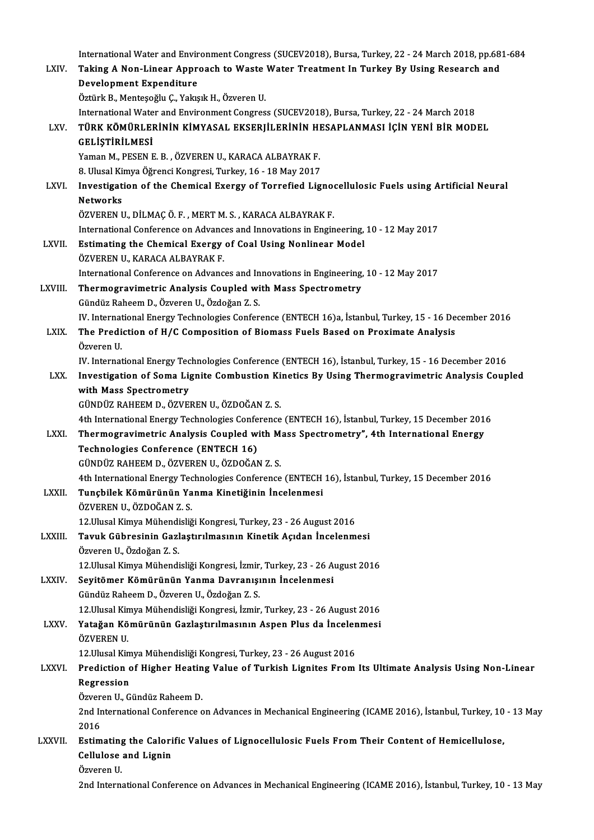|                | International Water and Environment Congress (SUCEV2018), Bursa, Turkey, 22 - 24 March 2018, pp.681-684        |
|----------------|----------------------------------------------------------------------------------------------------------------|
| LXIV.          | Taking A Non-Linear Approach to Waste Water Treatment In Turkey By Using Research and                          |
|                | Development Expenditure                                                                                        |
|                | Öztürk B., Menteşoğlu Ç., Yakışık H., Özveren U.                                                               |
|                | International Water and Environment Congress (SUCEV2018), Bursa, Turkey, 22 - 24 March 2018                    |
| LXV.           | TÜRK KÖMÜRLERININ KIMYASAL EKSERJİLERININ HESAPLANMASI İÇIN YENİ BİR MODEL                                     |
|                | GELİŞTİRİLMESİ                                                                                                 |
|                | Yaman M., PESEN E. B., ÖZVEREN U., KARACA ALBAYRAK F.                                                          |
|                | 8. Ulusal Kimya Öğrenci Kongresi, Turkey, 16 - 18 May 2017                                                     |
| LXVI.          | Investigation of the Chemical Exergy of Torrefied Lignocellulosic Fuels using Artificial Neural                |
|                | <b>Networks</b>                                                                                                |
|                | ÖZVEREN U., DİLMAÇ Ö. F., MERT M. S., KARACA ALBAYRAK F.                                                       |
|                | International Conference on Advances and Innovations in Engineering, 10 - 12 May 2017                          |
| LXVII.         | Estimating the Chemical Exergy of Coal Using Nonlinear Model                                                   |
|                | ÖZVEREN U., KARACA ALBAYRAK F.                                                                                 |
| LXVIII.        | International Conference on Advances and Innovations in Engineering, 10 - 12 May 2017                          |
|                | Thermogravimetric Analysis Coupled with Mass Spectrometry<br>Gündüz Raheem D., Özveren U., Özdoğan Z. S.       |
|                | IV. International Energy Technologies Conference (ENTECH 16)a, İstanbul, Turkey, 15 - 16 December 2016         |
| LXIX.          | The Prediction of H/C Composition of Biomass Fuels Based on Proximate Analysis                                 |
|                | Özveren U.                                                                                                     |
|                | IV. International Energy Technologies Conference (ENTECH 16), İstanbul, Turkey, 15 - 16 December 2016          |
| LXX.           | Investigation of Soma Lignite Combustion Kinetics By Using Thermogravimetric Analysis Coupled                  |
|                | with Mass Spectrometry                                                                                         |
|                | GÜNDÜZ RAHEEM D., ÖZVEREN U., ÖZDOĞAN Z. S.                                                                    |
|                | 4th International Energy Technologies Conference (ENTECH 16), İstanbul, Turkey, 15 December 2016               |
| LXXI.          | Thermogravimetric Analysis Coupled with Mass Spectrometry", 4th International Energy                           |
|                | <b>Technologies Conference (ENTECH 16)</b>                                                                     |
|                | GÜNDÜZ RAHEEM D., ÖZVEREN U., ÖZDOĞAN Z. S.                                                                    |
|                | 4th International Energy Technologies Conference (ENTECH 16), İstanbul, Turkey, 15 December 2016               |
| <b>LXXII</b>   | Tunçbilek Kömürünün Yanma Kinetiğinin İncelenmesi                                                              |
|                | ÖZVEREN U., ÖZDOĞAN Z. S.                                                                                      |
|                | 12. Ulusal Kimya Mühendisliği Kongresi, Turkey, 23 - 26 August 2016                                            |
| <b>LXXIII</b>  | Tavuk Gübresinin Gazlaştırılmasının Kinetik Açıdan İncelenmesi                                                 |
|                | Özveren U., Özdoğan Z. S.                                                                                      |
|                | 12. Ulusal Kimya Mühendisliği Kongresi, İzmir, Turkey, 23 - 26 August 2016                                     |
| <b>LXXIV</b>   | Seyitömer Kömürünün Yanma Davranışının İncelenmesi<br>Gündüz Raheem D., Özveren U., Özdoğan Z. S.              |
|                | 12. Ulusal Kimya Mühendisliği Kongresi, İzmir, Turkey, 23 - 26 August 2016                                     |
| <b>LXXV</b>    | Yatağan Kömürünün Gazlaştırılmasının Aspen Plus da İncelenmesi                                                 |
|                | ÖZVEREN U                                                                                                      |
|                | 12. Ulusal Kimya Mühendisliği Kongresi, Turkey, 23 - 26 August 2016                                            |
| <b>LXXVI</b>   | Prediction of Higher Heating Value of Turkish Lignites From Its Ultimate Analysis Using Non-Linear             |
|                | Regression                                                                                                     |
|                | Özveren U., Gündüz Raheem D.                                                                                   |
|                | 2nd International Conference on Advances in Mechanical Engineering (ICAME 2016), İstanbul, Turkey, 10 - 13 May |
|                | 2016                                                                                                           |
| <b>LXXVII.</b> | Estimating the Calorific Values of Lignocellulosic Fuels From Their Content of Hemicellulose,                  |
|                | <b>Cellulose and Lignin</b>                                                                                    |
|                | Özveren U.                                                                                                     |
|                | 2nd International Conference on Advances in Mechanical Engineering (ICAME 2016), İstanbul, Turkey, 10 - 13 May |
|                |                                                                                                                |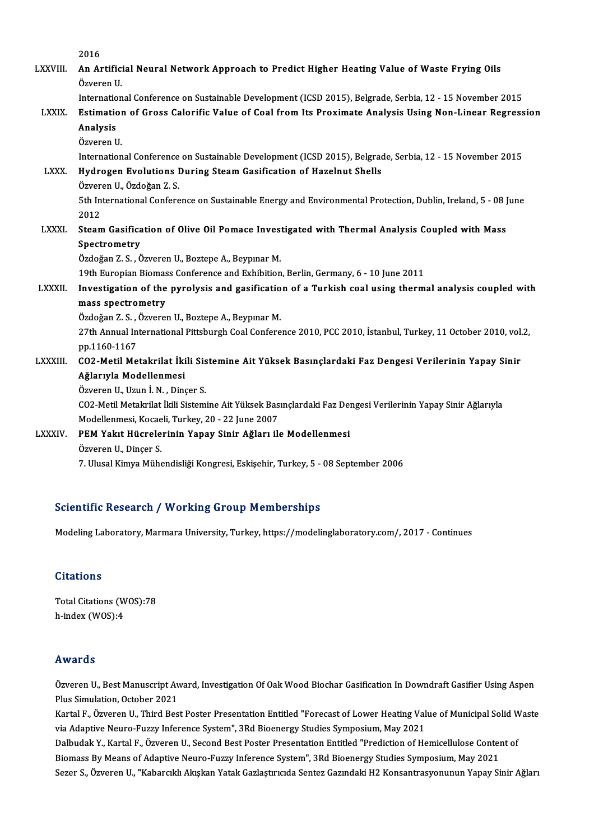| 2016 |  |
|------|--|
| .    |  |

|               | 2016                                                                                                           |
|---------------|----------------------------------------------------------------------------------------------------------------|
| LXXVIII.      | An Artificial Neural Network Approach to Predict Higher Heating Value of Waste Frying Oils<br>Özveren U        |
|               | International Conference on Sustainable Development (ICSD 2015), Belgrade, Serbia, 12 - 15 November 2015       |
| <b>LXXIX</b>  | Estimation of Gross Calorific Value of Coal from Its Proximate Analysis Using Non-Linear Regression            |
|               | Analysis                                                                                                       |
|               | Özveren U.                                                                                                     |
|               | International Conference on Sustainable Development (ICSD 2015), Belgrade, Serbia, 12 - 15 November 2015       |
| <b>LXXX</b>   | Hydrogen Evolutions During Steam Gasification of Hazelnut Shells                                               |
|               | Özveren U., Özdoğan Z. S.                                                                                      |
|               | 5th International Conference on Sustainable Energy and Environmental Protection, Dublin, Ireland, 5 - 08 June  |
|               | 2012                                                                                                           |
| <b>LXXXI</b>  | Steam Gasification of Olive Oil Pomace Investigated with Thermal Analysis Coupled with Mass                    |
|               | Spectrometry                                                                                                   |
|               | Özdoğan Z. S., Özveren U., Boztepe A., Beypinar M.                                                             |
|               | 19th Europian Biomass Conference and Exhibition, Berlin, Germany, 6 - 10 June 2011                             |
| LXXXII.       | Investigation of the pyrolysis and gasification of a Turkish coal using thermal analysis coupled with          |
|               | mass spectrometry                                                                                              |
|               | Özdoğan Z. S., Özveren U., Boztepe A., Beypınar M.                                                             |
|               | 27th Annual International Pittsburgh Coal Conference 2010, PCC 2010, İstanbul, Turkey, 11 October 2010, vol.2, |
|               | pp.1160-1167                                                                                                   |
| LXXXIII.      | CO2-Metil Metakrilat İkili Sistemine Ait Yüksek Basınçlardaki Faz Dengesi Verilerinin Yapay Sinir              |
|               | Ağlarıyla Modellenmesi                                                                                         |
|               | Özveren U., Uzun İ. N., Dinçer S.                                                                              |
|               | CO2-Metil Metakrilat İkili Sistemine Ait Yüksek Basınçlardaki Faz Dengesi Verilerinin Yapay Sinir Ağlarıyla    |
|               | Modellenmesi, Kocaeli, Turkey, 20 - 22 June 2007                                                               |
| <b>LXXXIV</b> | PEM Yakıt Hücrelerinin Yapay Sinir Ağları ile Modellenmesi                                                     |
|               | Özveren U., Dinçer S.                                                                                          |
|               | 7. Ulusal Kimya Mühendisliği Kongresi, Eskişehir, Turkey, 5 - 08 September 2006                                |
|               |                                                                                                                |

### Scientific Research / Working Group Memberships

Modeling Laboratory, Marmara University, Turkey, https://modelinglaboratory.com/, 2017 - Continues

#### **Citations**

Total Citations (WOS):78 h-index (WOS):4

### Awards

**Awards**<br>Özveren U., Best Manuscript Award, Investigation Of Oak Wood Biochar Gasification In Downdraft Gasifier Using Aspen<br>Plus Simulation, Ostober 2021 rrwards<br>Özveren U., Best Manuscript Av<br>Plus Simulation, October 2021<br>Kartal E. Özveren II. Third Bes Özveren U., Best Manuscript Award, Investigation Of Oak Wood Biochar Gasification In Downdraft Gasifier Using Aspen<br>Plus Simulation, October 2021<br>Kartal F., Özveren U., Third Best Poster Presentation Entitled "Forecast of

Plus Simulation, October 2021<br>Kartal F., Özveren U., Third Best Poster Presentation Entitled "Forecast of Lower Heating Val<br>via Adaptive Neuro-Fuzzy Inference System", 3Rd Bioenergy Studies Symposium, May 2021<br>Delbudak V., Kartal F., Özveren U., Third Best Poster Presentation Entitled "Forecast of Lower Heating Value of Municipal Solid W<br>via Adaptive Neuro-Fuzzy Inference System", 3Rd Bioenergy Studies Symposium, May 2021<br>Dalbudak Y., Kartal

via Adaptive Neuro-Fuzzy Inference System", 3Rd Bioenergy Studies Symposium, May 2021<br>Dalbudak Y., Kartal F., Özveren U., Second Best Poster Presentation Entitled "Prediction of Hemicellulose Content of<br>Biomass By Means of Sezer S., Özveren U., "Kabarcıklı Akışkan Yatak Gazlaştırıcıda Sentez Gazındaki H2 Konsantrasyonunun Yapay Sinir Ağları